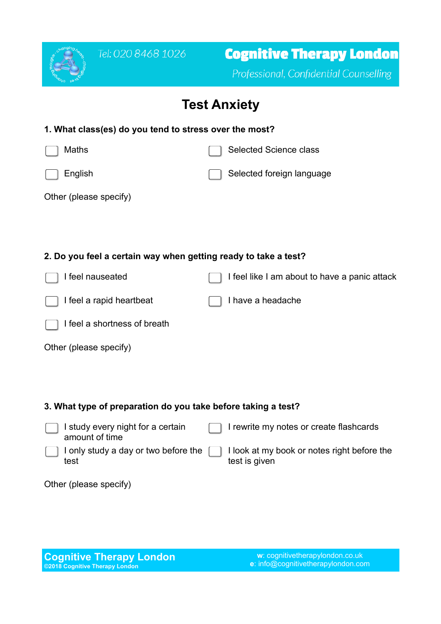

## **Test Anxiety**

| 1. What class(es) do you tend to stress over the most?          |                                               |  |
|-----------------------------------------------------------------|-----------------------------------------------|--|
| Maths                                                           | Selected Science class                        |  |
| English                                                         | Selected foreign language                     |  |
| Other (please specify)                                          |                                               |  |
|                                                                 |                                               |  |
|                                                                 |                                               |  |
| 2. Do you feel a certain way when getting ready to take a test? |                                               |  |
| I feel nauseated                                                | I feel like I am about to have a panic attack |  |
| I feel a rapid heartbeat                                        | I have a headache                             |  |
| I feel a shortness of breath                                    |                                               |  |
| Other (please specify)                                          |                                               |  |
|                                                                 |                                               |  |
|                                                                 |                                               |  |
| 3. What type of preparation do you take before taking a test?   |                                               |  |

 $\Box$  I study every night for a certain amount of time I rewrite my notes or create flashcards I only study a day or two before the test I look at my book or notes right before the test is given

Other (please specify)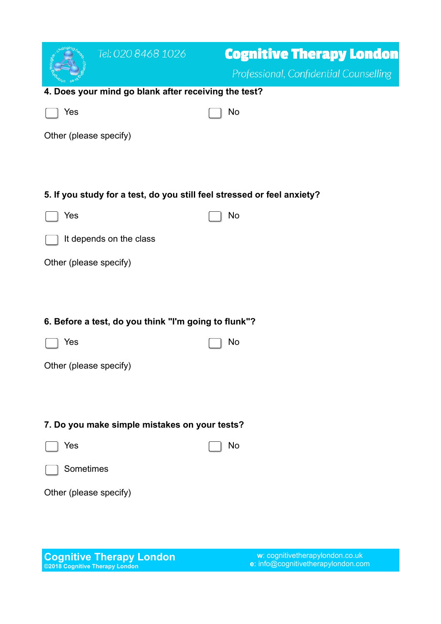|                                                                         | Tel: 020 8468 1026                                   | <b>Cognitive Therapy London</b><br>Professional, Confidential Counselling |  |
|-------------------------------------------------------------------------|------------------------------------------------------|---------------------------------------------------------------------------|--|
|                                                                         | 4. Does your mind go blank after receiving the test? |                                                                           |  |
| Yes                                                                     |                                                      | No                                                                        |  |
| Other (please specify)                                                  |                                                      |                                                                           |  |
|                                                                         |                                                      |                                                                           |  |
|                                                                         |                                                      |                                                                           |  |
| 5. If you study for a test, do you still feel stressed or feel anxiety? |                                                      |                                                                           |  |
| Yes                                                                     |                                                      | No                                                                        |  |
|                                                                         | It depends on the class                              |                                                                           |  |
| Other (please specify)                                                  |                                                      |                                                                           |  |
|                                                                         |                                                      |                                                                           |  |
|                                                                         |                                                      |                                                                           |  |
|                                                                         | 6. Before a test, do you think "I'm going to flunk"? |                                                                           |  |
| Yes                                                                     |                                                      | No                                                                        |  |
| Other (please specify)                                                  |                                                      |                                                                           |  |
|                                                                         |                                                      |                                                                           |  |
|                                                                         |                                                      |                                                                           |  |
| 7. Do you make simple mistakes on your tests?                           |                                                      |                                                                           |  |
| Yes                                                                     |                                                      | No                                                                        |  |
| Sometimes                                                               |                                                      |                                                                           |  |
| Other (please specify)                                                  |                                                      |                                                                           |  |
|                                                                         |                                                      |                                                                           |  |